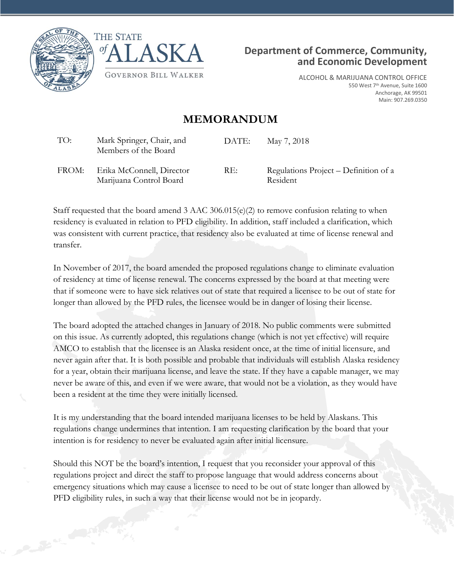





ALCOHOL & MARIJUANA CONTROL OFFICE 550 West 7<sup>th</sup> Avenue, Suite 1600 Anchorage, AK 99501 Main: 907.269.0350

## **MEMORANDUM**

| TO:   | Mark Springer, Chair, and<br>Members of the Board    | DATE: | May 7, 2018                                       |
|-------|------------------------------------------------------|-------|---------------------------------------------------|
| FROM: | Erika McConnell, Director<br>Marijuana Control Board | RE:   | Regulations Project – Definition of a<br>Resident |

Staff requested that the board amend 3 AAC 306.015(e)(2) to remove confusion relating to when residency is evaluated in relation to PFD eligibility. In addition, staff included a clarification, which was consistent with current practice, that residency also be evaluated at time of license renewal and transfer.

In November of 2017, the board amended the proposed regulations change to eliminate evaluation of residency at time of license renewal. The concerns expressed by the board at that meeting were that if someone were to have sick relatives out of state that required a licensee to be out of state for longer than allowed by the PFD rules, the licensee would be in danger of losing their license.

The board adopted the attached changes in January of 2018. No public comments were submitted on this issue. As currently adopted, this regulations change (which is not yet effective) will require AMCO to establish that the licensee is an Alaska resident once, at the time of initial licensure, and never again after that. It is both possible and probable that individuals will establish Alaska residency for a year, obtain their marijuana license, and leave the state. If they have a capable manager, we may never be aware of this, and even if we were aware, that would not be a violation, as they would have been a resident at the time they were initially licensed.

It is my understanding that the board intended marijuana licenses to be held by Alaskans. This regulations change undermines that intention. I am requesting clarification by the board that your intention is for residency to never be evaluated again after initial licensure.

Should this NOT be the board's intention, I request that you reconsider your approval of this regulations project and direct the staff to propose language that would address concerns about emergency situations which may cause a licensee to need to be out of state longer than allowed by PFD eligibility rules, in such a way that their license would not be in jeopardy.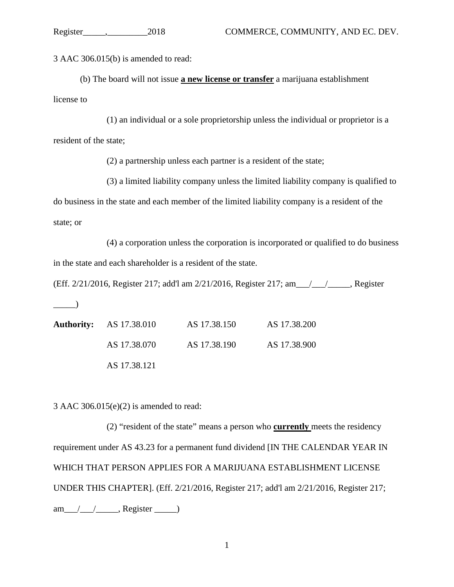3 AAC 306.015(b) is amended to read:

(b) The board will not issue **a new license or transfer** a marijuana establishment license to

(1) an individual or a sole proprietorship unless the individual or proprietor is a resident of the state;

(2) a partnership unless each partner is a resident of the state;

(3) a limited liability company unless the limited liability company is qualified to do business in the state and each member of the limited liability company is a resident of the state; or

(4) a corporation unless the corporation is incorporated or qualified to do business in the state and each shareholder is a resident of the state.

(Eff. 2/21/2016, Register 217; add'l am 2/21/2016, Register 217; am\_\_\_/\_\_\_/\_\_\_\_\_, Register

 $\qquad \qquad$ 

| <b>Authority:</b> AS 17.38.010 | AS 17.38.150 | AS 17.38.200 |
|--------------------------------|--------------|--------------|
| AS 17.38.070                   | AS 17.38.190 | AS 17.38.900 |
| AS 17.38.121                   |              |              |

3 AAC 306.015(e)(2) is amended to read:

(2) "resident of the state" means a person who **currently** meets the residency requirement under AS 43.23 for a permanent fund dividend [IN THE CALENDAR YEAR IN WHICH THAT PERSON APPLIES FOR A MARIJUANA ESTABLISHMENT LICENSE UNDER THIS CHAPTER]. (Eff. 2/21/2016, Register 217; add'l am 2/21/2016, Register 217; am\_\_\_/\_\_\_\_/\_\_\_\_, Register \_\_\_\_\_\_)